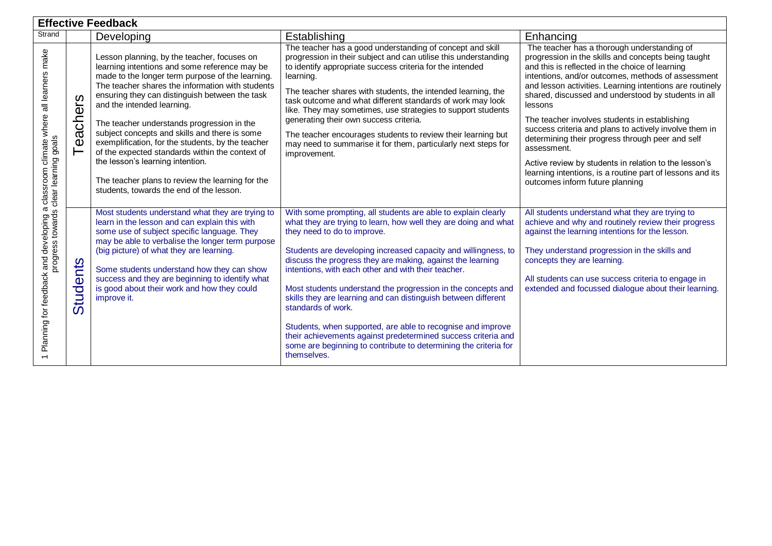|                                                                                                                                                     | <b>Effective Feedback</b>                                               |                                                                                                                                                                                                                                                                                                                                                                                                                                                                                                                                                                                                                                 |                                                                                                                                                                                                                                                                                                                                                                                                                                                                                                                                                                                                                                                                                                                                   |                                                                                                                                                                                                                                                                                                                                                                                                                                                                                                                                                                                                                                                                                  |  |  |  |  |
|-----------------------------------------------------------------------------------------------------------------------------------------------------|-------------------------------------------------------------------------|---------------------------------------------------------------------------------------------------------------------------------------------------------------------------------------------------------------------------------------------------------------------------------------------------------------------------------------------------------------------------------------------------------------------------------------------------------------------------------------------------------------------------------------------------------------------------------------------------------------------------------|-----------------------------------------------------------------------------------------------------------------------------------------------------------------------------------------------------------------------------------------------------------------------------------------------------------------------------------------------------------------------------------------------------------------------------------------------------------------------------------------------------------------------------------------------------------------------------------------------------------------------------------------------------------------------------------------------------------------------------------|----------------------------------------------------------------------------------------------------------------------------------------------------------------------------------------------------------------------------------------------------------------------------------------------------------------------------------------------------------------------------------------------------------------------------------------------------------------------------------------------------------------------------------------------------------------------------------------------------------------------------------------------------------------------------------|--|--|--|--|
| Strand                                                                                                                                              |                                                                         | Developing                                                                                                                                                                                                                                                                                                                                                                                                                                                                                                                                                                                                                      | Establishing                                                                                                                                                                                                                                                                                                                                                                                                                                                                                                                                                                                                                                                                                                                      | Enhancing                                                                                                                                                                                                                                                                                                                                                                                                                                                                                                                                                                                                                                                                        |  |  |  |  |
| classroom climate where all learners make<br>clear learning goals<br>$\varpi$<br>Planning for feedback and developing a<br>$\overline{\phantom{0}}$ | <b>S</b><br>$\overline{\phantom{0}}$<br>$\mathbf \omega$<br>Š<br>ത<br>Φ | Lesson planning, by the teacher, focuses on<br>learning intentions and some reference may be<br>made to the longer term purpose of the learning.<br>The teacher shares the information with students<br>ensuring they can distinguish between the task<br>and the intended learning.<br>The teacher understands progression in the<br>subject concepts and skills and there is some<br>exemplification, for the students, by the teacher<br>of the expected standards within the context of<br>the lesson's learning intention.<br>The teacher plans to review the learning for the<br>students, towards the end of the lesson. | The teacher has a good understanding of concept and skill<br>progression in their subject and can utilise this understanding<br>to identify appropriate success criteria for the intended<br>learning.<br>The teacher shares with students, the intended learning, the<br>task outcome and what different standards of work may look<br>like. They may sometimes, use strategies to support students<br>generating their own success criteria.<br>The teacher encourages students to review their learning but<br>may need to summarise it for them, particularly next steps for<br>improvement.                                                                                                                                  | The teacher has a thorough understanding of<br>progression in the skills and concepts being taught<br>and this is reflected in the choice of learning<br>intentions, and/or outcomes, methods of assessment<br>and lesson activities. Learning intentions are routinely<br>shared, discussed and understood by students in all<br>lessons<br>The teacher involves students in establishing<br>success criteria and plans to actively involve them in<br>determining their progress through peer and self<br>assessment.<br>Active review by students in relation to the lesson's<br>learning intentions, is a routine part of lessons and its<br>outcomes inform future planning |  |  |  |  |
|                                                                                                                                                     | ၯ<br>Ĕ<br>$\mathbf 0$<br>$\overline{\mathbf{C}}$<br>Stur                | Most students understand what they are trying to<br>learn in the lesson and can explain this with<br>some use of subject specific language. They<br>may be able to verbalise the longer term purpose<br>(big picture) of what they are learning.<br>Some students understand how they can show<br>success and they are beginning to identify what<br>is good about their work and how they could<br>improve it.                                                                                                                                                                                                                 | With some prompting, all students are able to explain clearly<br>what they are trying to learn, how well they are doing and what<br>they need to do to improve.<br>Students are developing increased capacity and willingness, to<br>discuss the progress they are making, against the learning<br>intentions, with each other and with their teacher.<br>Most students understand the progression in the concepts and<br>skills they are learning and can distinguish between different<br>standards of work.<br>Students, when supported, are able to recognise and improve<br>their achievements against predetermined success criteria and<br>some are beginning to contribute to determining the criteria for<br>themselves. | All students understand what they are trying to<br>achieve and why and routinely review their progress<br>against the learning intentions for the lesson.<br>They understand progression in the skills and<br>concepts they are learning.<br>All students can use success criteria to engage in<br>extended and focussed dialogue about their learning.                                                                                                                                                                                                                                                                                                                          |  |  |  |  |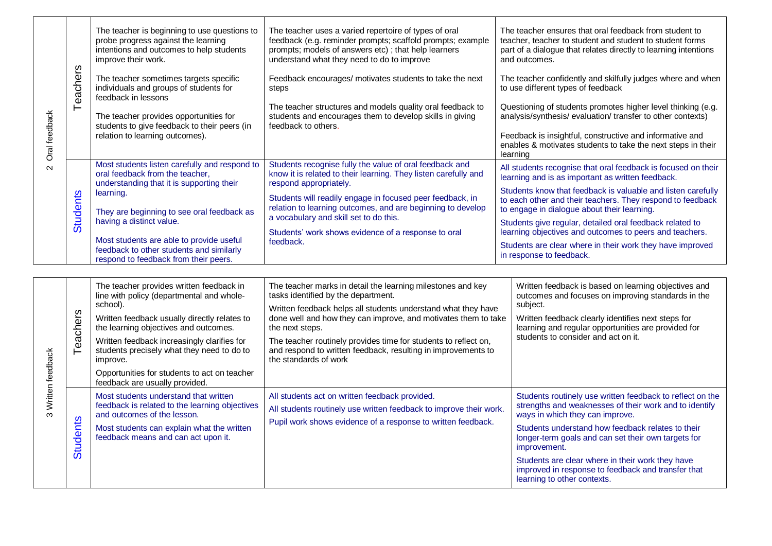| Oral feedback<br>$\sim$ | eachers         | The teacher is beginning to use questions to<br>probe progress against the learning<br>intentions and outcomes to help students<br>improve their work.<br>The teacher sometimes targets specific<br>individuals and groups of students for<br>feedback in lessons<br>The teacher provides opportunities for<br>students to give feedback to their peers (in<br>relation to learning outcomes). | The teacher uses a varied repertoire of types of oral<br>feedback (e.g. reminder prompts; scaffold prompts; example<br>prompts; models of answers etc); that help learners<br>understand what they need to do to improve<br>Feedback encourages/ motivates students to take the next<br>steps<br>The teacher structures and models quality oral feedback to<br>students and encourages them to develop skills in giving<br>feedback to others. | The teacher ensures that oral feedback from student to<br>teacher, teacher to student and student to student forms<br>part of a dialogue that relates directly to learning intentions<br>and outcomes.<br>The teacher confidently and skilfully judges where and when<br>to use different types of feedback<br>Questioning of students promotes higher level thinking (e.g.<br>analysis/synthesis/evaluation/transfer to other contexts)<br>Feedback is insightful, constructive and informative and<br>enables & motivates students to take the next steps in their<br>learning |
|-------------------------|-----------------|------------------------------------------------------------------------------------------------------------------------------------------------------------------------------------------------------------------------------------------------------------------------------------------------------------------------------------------------------------------------------------------------|------------------------------------------------------------------------------------------------------------------------------------------------------------------------------------------------------------------------------------------------------------------------------------------------------------------------------------------------------------------------------------------------------------------------------------------------|----------------------------------------------------------------------------------------------------------------------------------------------------------------------------------------------------------------------------------------------------------------------------------------------------------------------------------------------------------------------------------------------------------------------------------------------------------------------------------------------------------------------------------------------------------------------------------|
|                         | <b>Students</b> | Most students listen carefully and respond to<br>oral feedback from the teacher,<br>understanding that it is supporting their<br>learning.<br>They are beginning to see oral feedback as<br>having a distinct value.<br>Most students are able to provide useful<br>feedback to other students and similarly<br>respond to feedback from their peers.                                          | Students recognise fully the value of oral feedback and<br>know it is related to their learning. They listen carefully and<br>respond appropriately.<br>Students will readily engage in focused peer feedback, in<br>relation to learning outcomes, and are beginning to develop<br>a vocabulary and skill set to do this.<br>Students' work shows evidence of a response to oral<br>feedback.                                                 | All students recognise that oral feedback is focused on their<br>learning and is as important as written feedback.<br>Students know that feedback is valuable and listen carefully<br>to each other and their teachers. They respond to feedback<br>to engage in dialogue about their learning.<br>Students give regular, detailed oral feedback related to<br>learning objectives and outcomes to peers and teachers.<br>Students are clear where in their work they have improved<br>in response to feedback.                                                                  |
| 3 Written feedback      | eachers         | The teacher provides written feedback in<br>line with policy (departmental and whole-<br>school).<br>Written feedback usually directly relates to<br>the learning objectives and outcomes.<br>Written feedback increasingly clarifies for<br>students precisely what they need to do to<br>improve.<br>Opportunities for students to act on teacher<br>feedback are usually provided.          | The teacher marks in detail the learning milestones and key<br>tasks identified by the department.<br>Written feedback helps all students understand what they have<br>done well and how they can improve, and motivates them to take<br>the next steps.<br>The teacher routinely provides time for students to reflect on,<br>and respond to written feedback, resulting in improvements to<br>the standards of work                          | Written feedback is based on learning objectives and<br>outcomes and focuses on improving standards in the<br>subject.<br>Written feedback clearly identifies next steps for<br>learning and regular opportunities are provided for<br>students to consider and act on it.                                                                                                                                                                                                                                                                                                       |
|                         | <b>Students</b> | Most students understand that written<br>feedback is related to the learning objectives<br>and outcomes of the lesson.<br>Most students can explain what the written<br>feedback means and can act upon it.                                                                                                                                                                                    | All students act on written feedback provided.<br>All students routinely use written feedback to improve their work.<br>Pupil work shows evidence of a response to written feedback.                                                                                                                                                                                                                                                           | Students routinely use written feedback to reflect on the<br>strengths and weaknesses of their work and to identify<br>ways in which they can improve.<br>Students understand how feedback relates to their<br>longer-term goals and can set their own targets for<br>improvement.<br>Students are clear where in their work they have<br>improved in response to feedback and transfer that<br>learning to other contexts.                                                                                                                                                      |